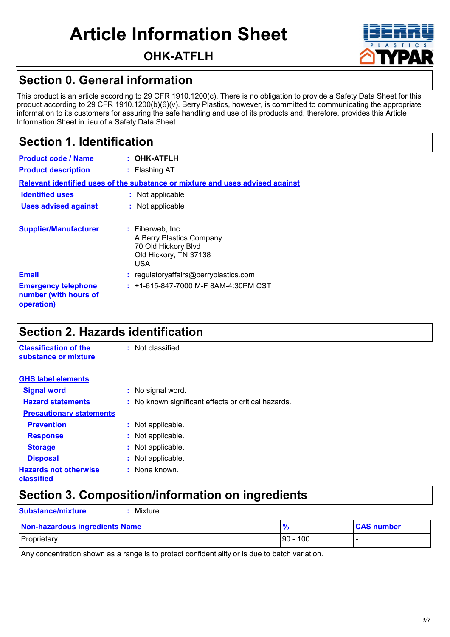# **Article Information Sheet**

**OHK-ATFLH**

### **Section 0. General information**

This product is an article according to 29 CFR 1910.1200(c). There is no obligation to provide a Safety Data Sheet for this product according to 29 CFR 1910.1200(b)(6)(v). Berry Plastics, however, is committed to communicating the appropriate information to its customers for assuring the safe handling and use of its products and, therefore, provides this Article Information Sheet in lieu of a Safety Data Sheet.

### **Section 1. Identification**

| <b>Product code / Name</b><br><b>Product description</b>                      | $:$ OHK-ATFLH<br>: Flashing AT                                                                      |  |  |
|-------------------------------------------------------------------------------|-----------------------------------------------------------------------------------------------------|--|--|
| Relevant identified uses of the substance or mixture and uses advised against |                                                                                                     |  |  |
| <b>Identified uses</b>                                                        | : Not applicable                                                                                    |  |  |
| <b>Uses advised against</b>                                                   | : Not applicable                                                                                    |  |  |
| <b>Supplier/Manufacturer</b>                                                  | : Fiberweb, Inc.<br>A Berry Plastics Company<br>70 Old Hickory Blvd<br>Old Hickory, TN 37138<br>USA |  |  |
| <b>Email</b>                                                                  | : regulatoryaffairs@berryplastics.com                                                               |  |  |
| <b>Emergency telephone</b><br>number (with hours of<br>operation)             | $: +1-615-847-7000$ M-F 8AM-4:30PM CST                                                              |  |  |

### **Section 2. Hazards identification**

**Substance/mixture :** Mixture

| <b>Classification of the</b><br>substance or mixture | : Not classified.                                   |
|------------------------------------------------------|-----------------------------------------------------|
| <b>GHS label elements</b>                            |                                                     |
| <b>Signal word</b>                                   | : No signal word.                                   |
| <b>Hazard statements</b>                             | : No known significant effects or critical hazards. |
| <b>Precautionary statements</b>                      |                                                     |
| <b>Prevention</b>                                    | : Not applicable.                                   |
| <b>Response</b>                                      | : Not applicable.                                   |
| <b>Storage</b>                                       | : Not applicable.                                   |
| <b>Disposal</b>                                      | : Not applicable.                                   |
| <b>Hazards not otherwise</b><br>classified           | : None known.                                       |

### **Section 3. Composition/information on ingredients**

| Non-hazardous ingredients Name | $\frac{9}{6}$ | <b>CAS number</b> |
|--------------------------------|---------------|-------------------|
| Proprietary                    | $ 90 - 100$   |                   |

Any concentration shown as a range is to protect confidentiality or is due to batch variation.

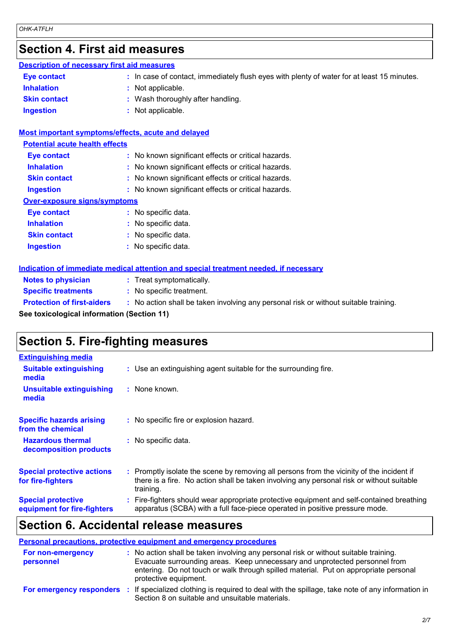### **Section 4. First aid measures**

#### **Description of necessary first aid measures**

| <b>Eve contact</b>  | : In case of contact, immediately flush eyes with plenty of water for at least 15 minutes. |  |
|---------------------|--------------------------------------------------------------------------------------------|--|
| Inhalation          | : Not applicable.                                                                          |  |
| <b>Skin contact</b> | : Wash thoroughly after handling.                                                          |  |
| <b>Ingestion</b>    | Not applicable.                                                                            |  |

#### **Most important symptoms/effects, acute and delayed**

| <b>Potential acute health effects</b> |                                                     |  |  |  |
|---------------------------------------|-----------------------------------------------------|--|--|--|
| <b>Eye contact</b>                    | : No known significant effects or critical hazards. |  |  |  |
| <b>Inhalation</b>                     | : No known significant effects or critical hazards. |  |  |  |
| <b>Skin contact</b>                   | : No known significant effects or critical hazards. |  |  |  |
| <b>Ingestion</b>                      | : No known significant effects or critical hazards. |  |  |  |
| <b>Over-exposure signs/symptoms</b>   |                                                     |  |  |  |
| Eye contact                           | : No specific data.                                 |  |  |  |
| <b>Inhalation</b>                     | : No specific data.                                 |  |  |  |
| <b>Skin contact</b>                   | : No specific data.                                 |  |  |  |
| <b>Ingestion</b>                      | No specific data.                                   |  |  |  |

### **Indication of immediate medical attention and special treatment needed, if necessary**

| <b>Notes to physician</b>         | : Treat symptomatically.                 |  |
|-----------------------------------|------------------------------------------|--|
| <b>Specific treatments</b>        | : No specific treatment.                 |  |
| <b>Protection of first-aiders</b> | $\pm$ No action shall be taken involving |  |

**Protect first-aiders :** No action shall be taken involving any personal risk or without suitable training.

**See toxicological information (Section 11)**

### **Section 5. Fire-fighting measures**

| <b>Extinguishing media</b>                               |                                                                                                                                                                                                     |
|----------------------------------------------------------|-----------------------------------------------------------------------------------------------------------------------------------------------------------------------------------------------------|
| <b>Suitable extinguishing</b><br>media                   | : Use an extinguishing agent suitable for the surrounding fire.                                                                                                                                     |
| <b>Unsuitable extinguishing</b><br>media                 | : None known.                                                                                                                                                                                       |
| <b>Specific hazards arising</b><br>from the chemical     | : No specific fire or explosion hazard.                                                                                                                                                             |
| <b>Hazardous thermal</b><br>decomposition products       | : No specific data.                                                                                                                                                                                 |
| <b>Special protective actions</b><br>for fire-fighters   | : Promptly isolate the scene by removing all persons from the vicinity of the incident if<br>there is a fire. No action shall be taken involving any personal risk or without suitable<br>training. |
| <b>Special protective</b><br>equipment for fire-fighters | Fire-fighters should wear appropriate protective equipment and self-contained breathing<br>apparatus (SCBA) with a full face-piece operated in positive pressure mode.                              |

### **Section 6. Accidental release measures**

| <b>Personal precautions, protective equipment and emergency procedures</b> |                                                                                                                                                                                                                                                                                      |  |  |  |
|----------------------------------------------------------------------------|--------------------------------------------------------------------------------------------------------------------------------------------------------------------------------------------------------------------------------------------------------------------------------------|--|--|--|
| <b>For non-emergency</b><br>personnel                                      | : No action shall be taken involving any personal risk or without suitable training.<br>Evacuate surrounding areas. Keep unnecessary and unprotected personnel from<br>entering. Do not touch or walk through spilled material. Put on appropriate personal<br>protective equipment. |  |  |  |
| For emergency responders                                                   | : If specialized clothing is required to deal with the spillage, take note of any information in<br>Section 8 on suitable and unsuitable materials.                                                                                                                                  |  |  |  |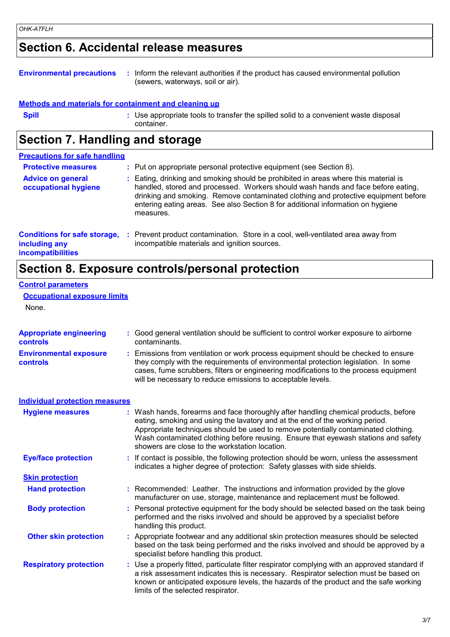### **Section 6. Accidental release measures**

#### **Environmental precautions :** Inform the relevant authorities if the product has caused environmental pollution (sewers, waterways, soil or air).

#### **Methods and materials for containment and cleaning up**

| <b>Spill</b> | Use appropriate tools to transfer the spilled solid to a convenient waste disposal<br>container. |
|--------------|--------------------------------------------------------------------------------------------------|
|              |                                                                                                  |

### **Section 7. Handling and storage**

| <b>Precautions for safe handling</b>                                             |    |                                                                                                                                                                                                                                                                                                                                                               |  |
|----------------------------------------------------------------------------------|----|---------------------------------------------------------------------------------------------------------------------------------------------------------------------------------------------------------------------------------------------------------------------------------------------------------------------------------------------------------------|--|
| <b>Protective measures</b>                                                       |    | : Put on appropriate personal protective equipment (see Section 8).                                                                                                                                                                                                                                                                                           |  |
| <b>Advice on general</b><br>occupational hygiene                                 |    | : Eating, drinking and smoking should be prohibited in areas where this material is<br>handled, stored and processed. Workers should wash hands and face before eating,<br>drinking and smoking. Remove contaminated clothing and protective equipment before<br>entering eating areas. See also Section 8 for additional information on hygiene<br>measures. |  |
| <b>Conditions for safe storage,</b><br>including any<br><b>incompatibilities</b> | ÷. | Prevent product contamination. Store in a cool, well-ventilated area away from<br>incompatible materials and ignition sources.                                                                                                                                                                                                                                |  |

### **Section 8. Exposure controls/personal protection**

#### **Control parameters**

#### **Occupational exposure limits**

None.

| <b>Appropriate engineering</b><br>controls       | : Good general ventilation should be sufficient to control worker exposure to airborne<br>contaminants.                                                                                                                                                                                                                                                                                           |
|--------------------------------------------------|---------------------------------------------------------------------------------------------------------------------------------------------------------------------------------------------------------------------------------------------------------------------------------------------------------------------------------------------------------------------------------------------------|
| <b>Environmental exposure</b><br><b>controls</b> | Emissions from ventilation or work process equipment should be checked to ensure<br>they comply with the requirements of environmental protection legislation. In some<br>cases, fume scrubbers, filters or engineering modifications to the process equipment<br>will be necessary to reduce emissions to acceptable levels.                                                                     |
| <b>Individual protection measures</b>            |                                                                                                                                                                                                                                                                                                                                                                                                   |
| <b>Hygiene measures</b>                          | : Wash hands, forearms and face thoroughly after handling chemical products, before<br>eating, smoking and using the lavatory and at the end of the working period.<br>Appropriate techniques should be used to remove potentially contaminated clothing.<br>Wash contaminated clothing before reusing. Ensure that eyewash stations and safety<br>showers are close to the workstation location. |
| <b>Eye/face protection</b>                       | : If contact is possible, the following protection should be worn, unless the assessment<br>indicates a higher degree of protection: Safety glasses with side shields.                                                                                                                                                                                                                            |
| <b>Skin protection</b>                           |                                                                                                                                                                                                                                                                                                                                                                                                   |
| <b>Hand protection</b>                           | : Recommended: Leather. The instructions and information provided by the glove<br>manufacturer on use, storage, maintenance and replacement must be followed.                                                                                                                                                                                                                                     |
| <b>Body protection</b>                           | Personal protective equipment for the body should be selected based on the task being<br>performed and the risks involved and should be approved by a specialist before<br>handling this product.                                                                                                                                                                                                 |
| <b>Other skin protection</b>                     | : Appropriate footwear and any additional skin protection measures should be selected<br>based on the task being performed and the risks involved and should be approved by a<br>specialist before handling this product.                                                                                                                                                                         |
| <b>Respiratory protection</b>                    | : Use a properly fitted, particulate filter respirator complying with an approved standard if<br>a risk assessment indicates this is necessary. Respirator selection must be based on<br>known or anticipated exposure levels, the hazards of the product and the safe working<br>limits of the selected respirator.                                                                              |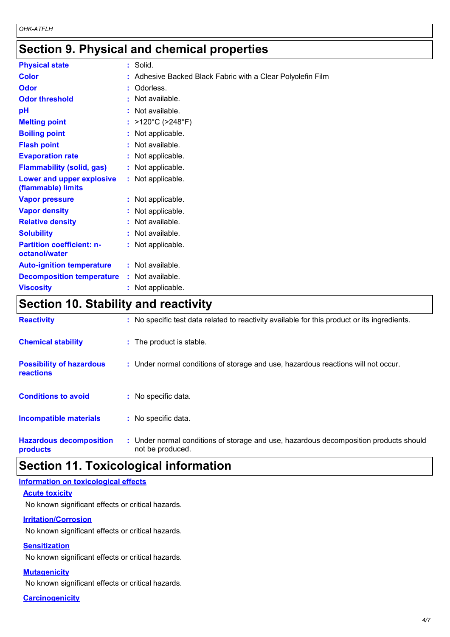### **Section 9. Physical and chemical properties**

| <b>Physical state</b>                             | : Solid.                                                    |
|---------------------------------------------------|-------------------------------------------------------------|
| <b>Color</b>                                      | : Adhesive Backed Black Fabric with a Clear Polyolefin Film |
| <b>Odor</b>                                       | : Odorless.                                                 |
| <b>Odor threshold</b>                             | : Not available.                                            |
| pH                                                | : Not available.                                            |
| <b>Melting point</b>                              | : $>120^{\circ}$ C ( $>248^{\circ}$ F)                      |
| <b>Boiling point</b>                              | : Not applicable.                                           |
| <b>Flash point</b>                                | : Not available.                                            |
| <b>Evaporation rate</b>                           | : Not applicable.                                           |
| <b>Flammability (solid, gas)</b>                  | : Not applicable.                                           |
| Lower and upper explosive<br>(flammable) limits   | : Not applicable.                                           |
| <b>Vapor pressure</b>                             | : Not applicable.                                           |
| <b>Vapor density</b>                              | : Not applicable.                                           |
| <b>Relative density</b>                           | : Not available.                                            |
| <b>Solubility</b>                                 | : Not available.                                            |
| <b>Partition coefficient: n-</b><br>octanol/water | : Not applicable.                                           |
| <b>Auto-ignition temperature</b>                  | : Not available.                                            |
| <b>Decomposition temperature</b>                  | : Not available.                                            |
| <b>Viscosity</b>                                  | : Not applicable.                                           |

### **Section 10. Stability and reactivity**

| <b>Reactivity</b>                            | : No specific test data related to reactivity available for this product or its ingredients.              |
|----------------------------------------------|-----------------------------------------------------------------------------------------------------------|
| <b>Chemical stability</b>                    | : The product is stable.                                                                                  |
| <b>Possibility of hazardous</b><br>reactions | : Under normal conditions of storage and use, hazardous reactions will not occur.                         |
| <b>Conditions to avoid</b>                   | : No specific data.                                                                                       |
| <b>Incompatible materials</b>                | : No specific data.                                                                                       |
| <b>Hazardous decomposition</b><br>products   | : Under normal conditions of storage and use, hazardous decomposition products should<br>not be produced. |

## **Section 11. Toxicological information**

#### **Information on toxicological effects**

#### **Acute toxicity**

No known significant effects or critical hazards.

#### **Irritation/Corrosion**

No known significant effects or critical hazards.

#### **Sensitization**

No known significant effects or critical hazards.

#### **Mutagenicity**

No known significant effects or critical hazards.

**Carcinogenicity**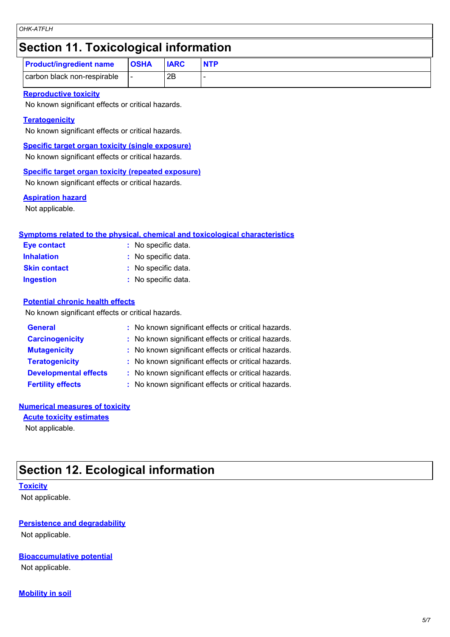### **Section 11. Toxicological information**

| <b>Product/ingredient name</b> | <b>OSHA</b> | <b>IARC</b> | <b>NTP</b> |
|--------------------------------|-------------|-------------|------------|
| carbon black non-respirable    |             | 2B          |            |

#### **Reproductive toxicity**

No known significant effects or critical hazards.

#### **Teratogenicity**

No known significant effects or critical hazards.

**Specific target organ toxicity (single exposure)**

No known significant effects or critical hazards.

#### **Specific target organ toxicity (repeated exposure)**

No known significant effects or critical hazards.

#### **Aspiration hazard**

Not applicable.

#### **Symptoms related to the physical, chemical and toxicological characteristics**

| Eye contact         | : No specific data. |
|---------------------|---------------------|
| <b>Inhalation</b>   | : No specific data. |
| <b>Skin contact</b> | : No specific data. |
| <b>Ingestion</b>    | : No specific data. |

#### **Potential chronic health effects**

No known significant effects or critical hazards.

| <b>General</b>               | : No known significant effects or critical hazards. |
|------------------------------|-----------------------------------------------------|
| <b>Carcinogenicity</b>       | : No known significant effects or critical hazards. |
| <b>Mutagenicity</b>          | : No known significant effects or critical hazards. |
| <b>Teratogenicity</b>        | : No known significant effects or critical hazards. |
| <b>Developmental effects</b> | : No known significant effects or critical hazards. |
| <b>Fertility effects</b>     | : No known significant effects or critical hazards. |

#### **Numerical measures of toxicity**

**Acute toxicity estimates** Not applicable.

### **Section 12. Ecological information**

#### **Toxicity**

Not applicable.

#### **Persistence and degradability**

Not applicable.

#### **Bioaccumulative potential**

Not applicable.

#### **Mobility in soil**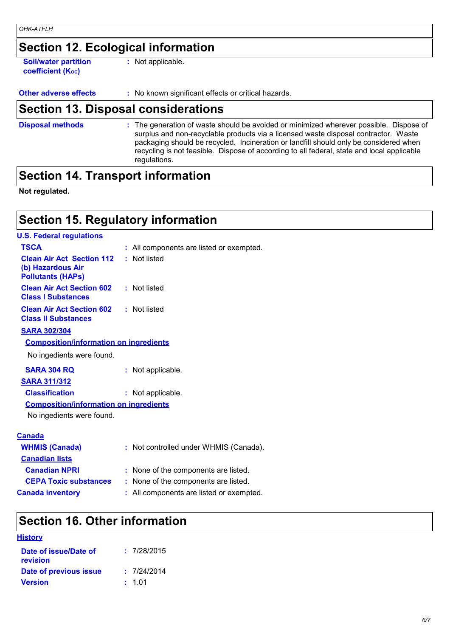### **Section 12. Ecological information**

**Soil/water partition coefficient (KOC)**

**:** Not applicable.

**Other adverse effects** : No known significant effects or critical hazards.

### **Section 13. Disposal considerations**

The generation of waste should be avoided or minimized wherever possible. Dispose of surplus and non-recyclable products via a licensed waste disposal contractor. Waste packaging should be recycled. Incineration or landfill should only be considered when recycling is not feasible. Dispose of according to all federal, state and local applicable regulations. **Disposal methods :**

### **Section 14. Transport information**

**Not regulated.**

### **Section 15. Regulatory information**

| <b>U.S. Federal regulations</b>                                                   |                                          |
|-----------------------------------------------------------------------------------|------------------------------------------|
| <b>TSCA</b>                                                                       | : All components are listed or exempted. |
| <b>Clean Air Act Section 112</b><br>(b) Hazardous Air<br><b>Pollutants (HAPS)</b> | : Not listed                             |
| <b>Clean Air Act Section 602</b><br><b>Class I Substances</b>                     | : Not listed                             |
| <b>Clean Air Act Section 602</b><br><b>Class II Substances</b>                    | : Not listed                             |
| <b>SARA 302/304</b>                                                               |                                          |
| <b>Composition/information on ingredients</b>                                     |                                          |
| No ingedients were found.                                                         |                                          |
| <b>SARA 304 RQ</b>                                                                | : Not applicable.                        |
| <b>SARA 311/312</b>                                                               |                                          |
| <b>Classification</b>                                                             | : Not applicable.                        |
| <b>Composition/information on ingredients</b>                                     |                                          |
| No ingedients were found.                                                         |                                          |
| <b>Canada</b>                                                                     |                                          |
| <b>WHMIS (Canada)</b>                                                             | : Not controlled under WHMIS (Canada).   |
| <b>Canadian lists</b>                                                             |                                          |
| <b>Canadian NPRI</b>                                                              | : None of the components are listed.     |
| <b>CEPA Toxic substances</b>                                                      | : None of the components are listed.     |
| <b>Canada inventory</b>                                                           | : All components are listed or exempted. |
|                                                                                   |                                          |

### **Section 16. Other information**

| <b>History</b> |
|----------------|
|----------------|

| : 7/28/2015 |
|-------------|
| : 7/24/2014 |
| : 1.01      |
|             |